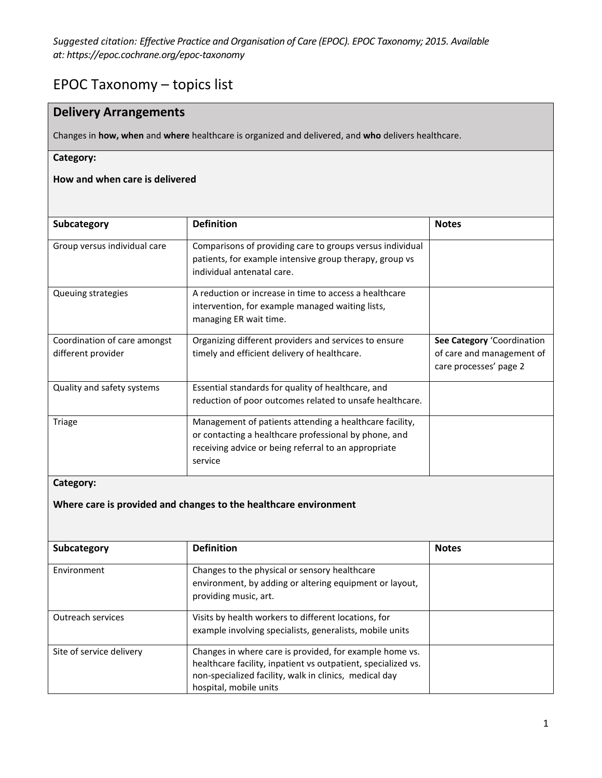# EPOC Taxonomy – topics list

## **Delivery Arrangements**

Changes in **how, when** and **where** healthcare is organized and delivered, and **who** delivers healthcare.

### **Category:**

#### **How and when care is delivered**

| <b>Subcategory</b>                                 | <b>Definition</b>                                                                                                                                                                   | <b>Notes</b>                                                                      |
|----------------------------------------------------|-------------------------------------------------------------------------------------------------------------------------------------------------------------------------------------|-----------------------------------------------------------------------------------|
| Group versus individual care                       | Comparisons of providing care to groups versus individual<br>patients, for example intensive group therapy, group vs<br>individual antenatal care.                                  |                                                                                   |
| Queuing strategies                                 | A reduction or increase in time to access a healthcare<br>intervention, for example managed waiting lists,<br>managing ER wait time.                                                |                                                                                   |
| Coordination of care amongst<br>different provider | Organizing different providers and services to ensure<br>timely and efficient delivery of healthcare.                                                                               | See Category 'Coordination<br>of care and management of<br>care processes' page 2 |
| Quality and safety systems                         | Essential standards for quality of healthcare, and<br>reduction of poor outcomes related to unsafe healthcare.                                                                      |                                                                                   |
| Triage                                             | Management of patients attending a healthcare facility,<br>or contacting a healthcare professional by phone, and<br>receiving advice or being referral to an appropriate<br>service |                                                                                   |

#### **Category:**

### **Where care is provided and changes to the healthcare environment**

| Subcategory              | <b>Definition</b>                                                                                                                                                                                            | <b>Notes</b> |
|--------------------------|--------------------------------------------------------------------------------------------------------------------------------------------------------------------------------------------------------------|--------------|
| Environment              | Changes to the physical or sensory healthcare<br>environment, by adding or altering equipment or layout,<br>providing music, art.                                                                            |              |
| Outreach services        | Visits by health workers to different locations, for<br>example involving specialists, generalists, mobile units                                                                                             |              |
| Site of service delivery | Changes in where care is provided, for example home vs.<br>healthcare facility, inpatient vs outpatient, specialized vs.<br>non-specialized facility, walk in clinics, medical day<br>hospital, mobile units |              |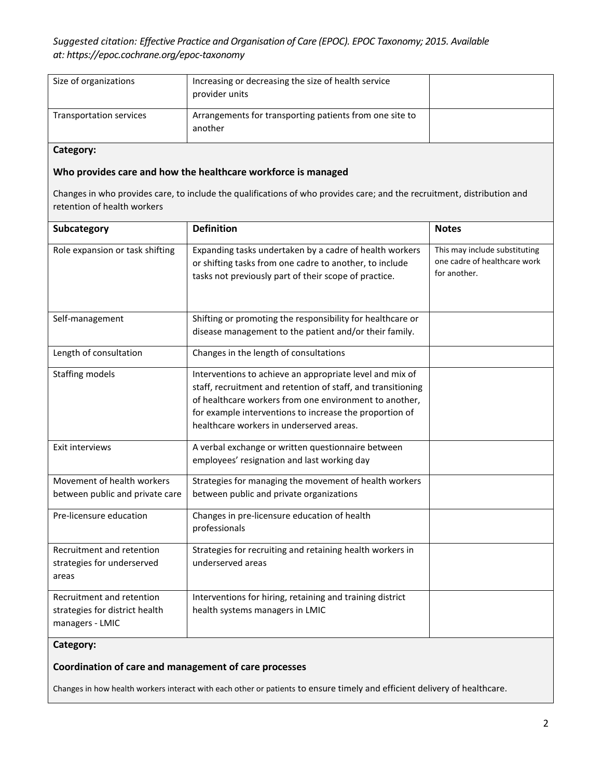| Size of organizations                                                          | Increasing or decreasing the size of health service<br>provider units                                                                                                                                                                                                                     |                                                                               |
|--------------------------------------------------------------------------------|-------------------------------------------------------------------------------------------------------------------------------------------------------------------------------------------------------------------------------------------------------------------------------------------|-------------------------------------------------------------------------------|
| <b>Transportation services</b>                                                 | Arrangements for transporting patients from one site to<br>another                                                                                                                                                                                                                        |                                                                               |
| Category:                                                                      |                                                                                                                                                                                                                                                                                           |                                                                               |
|                                                                                | Who provides care and how the healthcare workforce is managed                                                                                                                                                                                                                             |                                                                               |
| retention of health workers                                                    | Changes in who provides care, to include the qualifications of who provides care; and the recruitment, distribution and                                                                                                                                                                   |                                                                               |
| Subcategory                                                                    | <b>Definition</b>                                                                                                                                                                                                                                                                         | <b>Notes</b>                                                                  |
| Role expansion or task shifting                                                | Expanding tasks undertaken by a cadre of health workers<br>or shifting tasks from one cadre to another, to include<br>tasks not previously part of their scope of practice.                                                                                                               | This may include substituting<br>one cadre of healthcare work<br>for another. |
| Self-management                                                                | Shifting or promoting the responsibility for healthcare or<br>disease management to the patient and/or their family.                                                                                                                                                                      |                                                                               |
| Length of consultation                                                         | Changes in the length of consultations                                                                                                                                                                                                                                                    |                                                                               |
| <b>Staffing models</b>                                                         | Interventions to achieve an appropriate level and mix of<br>staff, recruitment and retention of staff, and transitioning<br>of healthcare workers from one environment to another,<br>for example interventions to increase the proportion of<br>healthcare workers in underserved areas. |                                                                               |
| Exit interviews                                                                | A verbal exchange or written questionnaire between<br>employees' resignation and last working day                                                                                                                                                                                         |                                                                               |
| Movement of health workers<br>between public and private care                  | Strategies for managing the movement of health workers<br>between public and private organizations                                                                                                                                                                                        |                                                                               |
| Pre-licensure education                                                        | Changes in pre-licensure education of health<br>professionals                                                                                                                                                                                                                             |                                                                               |
| Recruitment and retention<br>strategies for underserved<br>areas               | Strategies for recruiting and retaining health workers in<br>underserved areas                                                                                                                                                                                                            |                                                                               |
| Recruitment and retention<br>strategies for district health<br>managers - LMIC | Interventions for hiring, retaining and training district<br>health systems managers in LMIC                                                                                                                                                                                              |                                                                               |

## **Category:**

### **Coordination of care and management of care processes**

Changes in how health workers interact with each other or patients to ensure timely and efficient delivery of healthcare.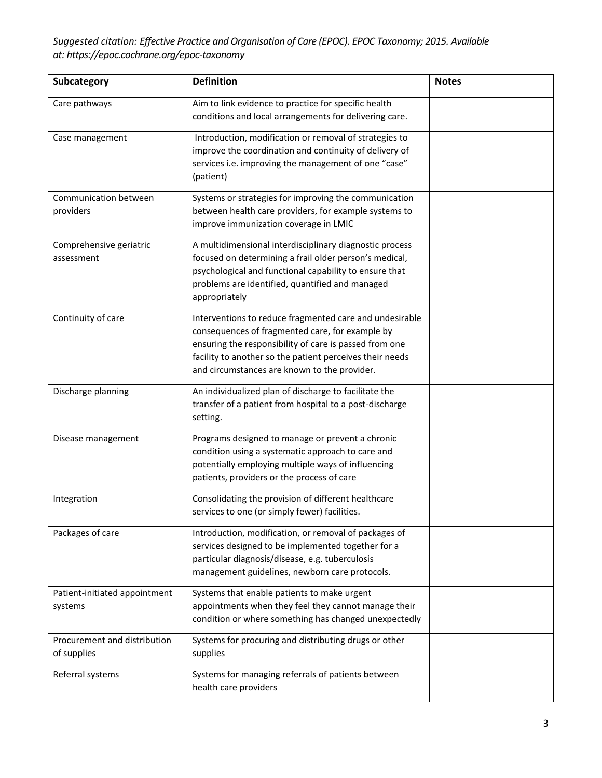| Subcategory                                 | <b>Definition</b>                                                                                                                                                                                                                                                                | <b>Notes</b> |
|---------------------------------------------|----------------------------------------------------------------------------------------------------------------------------------------------------------------------------------------------------------------------------------------------------------------------------------|--------------|
| Care pathways                               | Aim to link evidence to practice for specific health<br>conditions and local arrangements for delivering care.                                                                                                                                                                   |              |
| Case management                             | Introduction, modification or removal of strategies to<br>improve the coordination and continuity of delivery of<br>services i.e. improving the management of one "case"<br>(patient)                                                                                            |              |
| Communication between<br>providers          | Systems or strategies for improving the communication<br>between health care providers, for example systems to<br>improve immunization coverage in LMIC                                                                                                                          |              |
| Comprehensive geriatric<br>assessment       | A multidimensional interdisciplinary diagnostic process<br>focused on determining a frail older person's medical,<br>psychological and functional capability to ensure that<br>problems are identified, quantified and managed<br>appropriately                                  |              |
| Continuity of care                          | Interventions to reduce fragmented care and undesirable<br>consequences of fragmented care, for example by<br>ensuring the responsibility of care is passed from one<br>facility to another so the patient perceives their needs<br>and circumstances are known to the provider. |              |
| Discharge planning                          | An individualized plan of discharge to facilitate the<br>transfer of a patient from hospital to a post-discharge<br>setting.                                                                                                                                                     |              |
| Disease management                          | Programs designed to manage or prevent a chronic<br>condition using a systematic approach to care and<br>potentially employing multiple ways of influencing<br>patients, providers or the process of care                                                                        |              |
| Integration                                 | Consolidating the provision of different healthcare<br>services to one (or simply fewer) facilities.                                                                                                                                                                             |              |
| Packages of care                            | Introduction, modification, or removal of packages of<br>services designed to be implemented together for a<br>particular diagnosis/disease, e.g. tuberculosis<br>management guidelines, newborn care protocols.                                                                 |              |
| Patient-initiated appointment<br>systems    | Systems that enable patients to make urgent<br>appointments when they feel they cannot manage their<br>condition or where something has changed unexpectedly                                                                                                                     |              |
| Procurement and distribution<br>of supplies | Systems for procuring and distributing drugs or other<br>supplies                                                                                                                                                                                                                |              |
| Referral systems                            | Systems for managing referrals of patients between<br>health care providers                                                                                                                                                                                                      |              |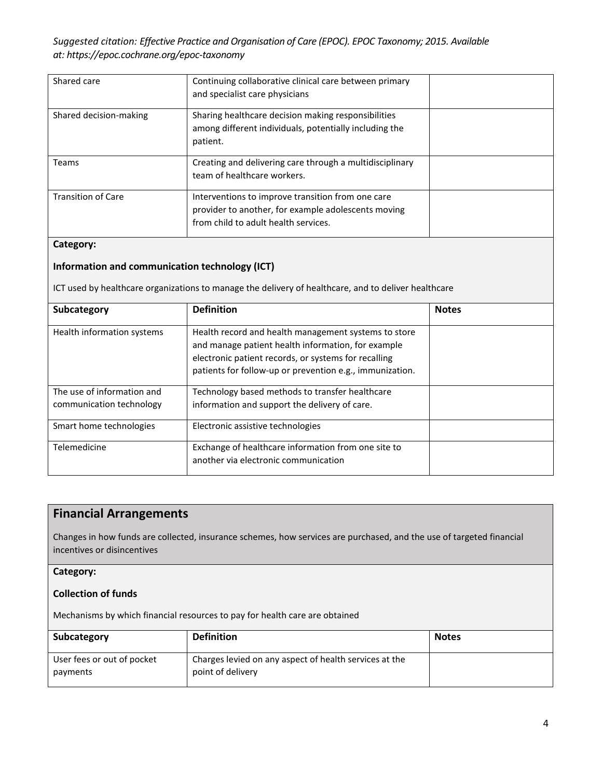| Shared care               | Continuing collaborative clinical care between primary<br>and specialist care physicians                                                         |  |
|---------------------------|--------------------------------------------------------------------------------------------------------------------------------------------------|--|
| Shared decision-making    | Sharing healthcare decision making responsibilities<br>among different individuals, potentially including the<br>patient.                        |  |
| Teams                     | Creating and delivering care through a multidisciplinary<br>team of healthcare workers.                                                          |  |
| <b>Transition of Care</b> | Interventions to improve transition from one care<br>provider to another, for example adolescents moving<br>from child to adult health services. |  |

#### **Category:**

#### **Information and communication technology (ICT)**

ICT used by healthcare organizations to manage the delivery of healthcare, and to deliver healthcare

| Subcategory                                            | <b>Definition</b>                                                                                                                                                                                                              | <b>Notes</b> |  |
|--------------------------------------------------------|--------------------------------------------------------------------------------------------------------------------------------------------------------------------------------------------------------------------------------|--------------|--|
| Health information systems                             | Health record and health management systems to store<br>and manage patient health information, for example<br>electronic patient records, or systems for recalling<br>patients for follow-up or prevention e.g., immunization. |              |  |
| The use of information and<br>communication technology | Technology based methods to transfer healthcare<br>information and support the delivery of care.                                                                                                                               |              |  |
| Smart home technologies                                | Electronic assistive technologies                                                                                                                                                                                              |              |  |
| Telemedicine                                           | Exchange of healthcare information from one site to<br>another via electronic communication                                                                                                                                    |              |  |

## **Financial Arrangements**

Changes in how funds are collected, insurance schemes, how services are purchased, and the use of targeted financial incentives or disincentives

#### **Category:**

#### **Collection of funds**

Mechanisms by which financial resources to pay for health care are obtained

| Subcategory                | <b>Definition</b>                                      | <b>Notes</b> |
|----------------------------|--------------------------------------------------------|--------------|
| User fees or out of pocket | Charges levied on any aspect of health services at the |              |
| payments                   | point of delivery                                      |              |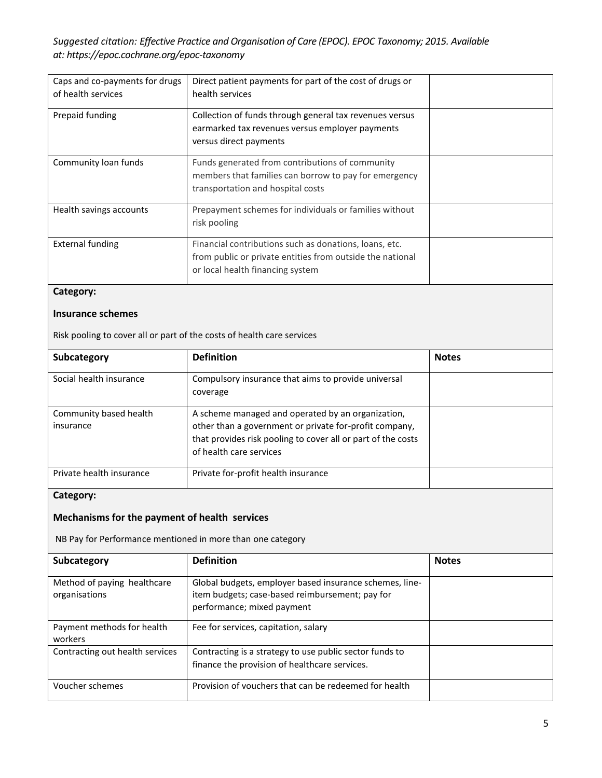| Caps and co-payments for drugs | Direct patient payments for part of the cost of drugs or  |  |
|--------------------------------|-----------------------------------------------------------|--|
| of health services             | health services                                           |  |
|                                |                                                           |  |
| Prepaid funding                | Collection of funds through general tax revenues versus   |  |
|                                | earmarked tax revenues versus employer payments           |  |
|                                | versus direct payments                                    |  |
| Community loan funds           | Funds generated from contributions of community           |  |
|                                | members that families can borrow to pay for emergency     |  |
|                                |                                                           |  |
|                                | transportation and hospital costs                         |  |
| Health savings accounts        | Prepayment schemes for individuals or families without    |  |
|                                | risk pooling                                              |  |
|                                |                                                           |  |
| External funding               | Financial contributions such as donations, loans, etc.    |  |
|                                | from public or private entities from outside the national |  |
|                                |                                                           |  |
|                                | or local health financing system                          |  |
|                                |                                                           |  |

## **Category:**

#### **Insurance schemes**

Risk pooling to cover all or part of the costs of health care services

| Subcategory                         | <b>Definition</b>                                                                                                                                                                                      | <b>Notes</b> |
|-------------------------------------|--------------------------------------------------------------------------------------------------------------------------------------------------------------------------------------------------------|--------------|
| Social health insurance             | Compulsory insurance that aims to provide universal<br>coverage                                                                                                                                        |              |
| Community based health<br>insurance | A scheme managed and operated by an organization,<br>other than a government or private for-profit company,<br>that provides risk pooling to cover all or part of the costs<br>of health care services |              |
| Private health insurance            | Private for-profit health insurance                                                                                                                                                                    |              |

#### **Category:**

### **Mechanisms for the payment of health services**

NB Pay for Performance mentioned in more than one category

| Subcategory                                  | <b>Definition</b>                                                                                                                        | <b>Notes</b> |
|----------------------------------------------|------------------------------------------------------------------------------------------------------------------------------------------|--------------|
| Method of paying healthcare<br>organisations | Global budgets, employer based insurance schemes, line-<br>item budgets; case-based reimbursement; pay for<br>performance; mixed payment |              |
| Payment methods for health<br>workers        | Fee for services, capitation, salary                                                                                                     |              |
| Contracting out health services              | Contracting is a strategy to use public sector funds to<br>finance the provision of healthcare services.                                 |              |
| Voucher schemes                              | Provision of vouchers that can be redeemed for health                                                                                    |              |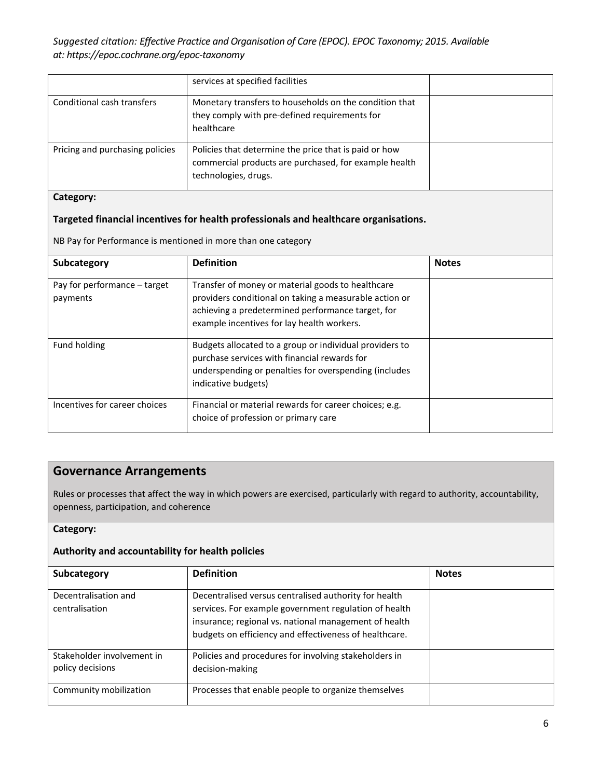|                                 | services at specified facilities                                                                                                       |  |
|---------------------------------|----------------------------------------------------------------------------------------------------------------------------------------|--|
| Conditional cash transfers      | Monetary transfers to households on the condition that<br>they comply with pre-defined requirements for<br>healthcare                  |  |
| Pricing and purchasing policies | Policies that determine the price that is paid or how<br>commercial products are purchased, for example health<br>technologies, drugs. |  |

#### **Category:**

#### **Targeted financial incentives for health professionals and healthcare organisations.**

NB Pay for Performance is mentioned in more than one category

| Subcategory                              | <b>Definition</b>                                                                                                                                                                                              | <b>Notes</b> |
|------------------------------------------|----------------------------------------------------------------------------------------------------------------------------------------------------------------------------------------------------------------|--------------|
| Pay for performance - target<br>payments | Transfer of money or material goods to healthcare<br>providers conditional on taking a measurable action or<br>achieving a predetermined performance target, for<br>example incentives for lay health workers. |              |
| Fund holding                             | Budgets allocated to a group or individual providers to<br>purchase services with financial rewards for<br>underspending or penalties for overspending (includes<br>indicative budgets)                        |              |
| Incentives for career choices            | Financial or material rewards for career choices; e.g.<br>choice of profession or primary care                                                                                                                 |              |

## **Governance Arrangements**

Rules or processes that affect the way in which powers are exercised, particularly with regard to authority, accountability, openness, participation, and coherence

#### **Category:**

### **Authority and accountability for health policies**

| Subcategory                                    | <b>Definition</b>                                                                                                                                                                                                                 | <b>Notes</b> |
|------------------------------------------------|-----------------------------------------------------------------------------------------------------------------------------------------------------------------------------------------------------------------------------------|--------------|
| Decentralisation and<br>centralisation         | Decentralised versus centralised authority for health<br>services. For example government regulation of health<br>insurance; regional vs. national management of health<br>budgets on efficiency and effectiveness of healthcare. |              |
| Stakeholder involvement in<br>policy decisions | Policies and procedures for involving stakeholders in<br>decision-making                                                                                                                                                          |              |
| Community mobilization                         | Processes that enable people to organize themselves                                                                                                                                                                               |              |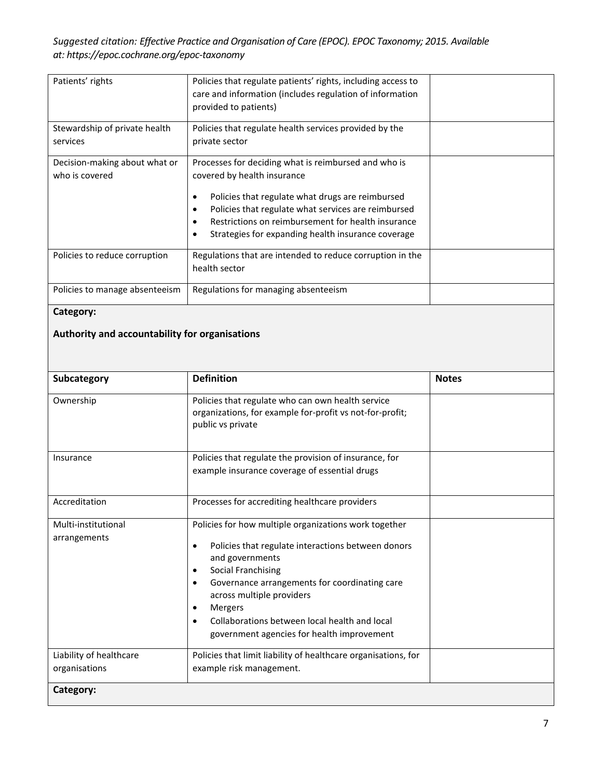| Patients' rights<br>Policies that regulate patients' rights, including access to<br>care and information (includes regulation of information<br>provided to patients)<br>Policies that regulate health services provided by the<br>Stewardship of private health<br>services<br>private sector<br>Decision-making about what or<br>Processes for deciding what is reimbursed and who is<br>covered by health insurance<br>who is covered<br>Policies that regulate what drugs are reimbursed<br>Policies that regulate what services are reimbursed<br>Restrictions on reimbursement for health insurance<br>Strategies for expanding health insurance coverage<br>Policies to reduce corruption<br>Regulations that are intended to reduce corruption in the<br>health sector<br>Regulations for managing absenteeism<br>Policies to manage absenteeism |          |  |
|----------------------------------------------------------------------------------------------------------------------------------------------------------------------------------------------------------------------------------------------------------------------------------------------------------------------------------------------------------------------------------------------------------------------------------------------------------------------------------------------------------------------------------------------------------------------------------------------------------------------------------------------------------------------------------------------------------------------------------------------------------------------------------------------------------------------------------------------------------|----------|--|
|                                                                                                                                                                                                                                                                                                                                                                                                                                                                                                                                                                                                                                                                                                                                                                                                                                                          |          |  |
|                                                                                                                                                                                                                                                                                                                                                                                                                                                                                                                                                                                                                                                                                                                                                                                                                                                          |          |  |
|                                                                                                                                                                                                                                                                                                                                                                                                                                                                                                                                                                                                                                                                                                                                                                                                                                                          |          |  |
|                                                                                                                                                                                                                                                                                                                                                                                                                                                                                                                                                                                                                                                                                                                                                                                                                                                          |          |  |
|                                                                                                                                                                                                                                                                                                                                                                                                                                                                                                                                                                                                                                                                                                                                                                                                                                                          | $C^{at}$ |  |

#### **Category:**

## **Authority and accountability for organisations**

| Subcategory                              | <b>Definition</b>                                                                                                                                                                                                                                                                                                                                                                                             | <b>Notes</b> |
|------------------------------------------|---------------------------------------------------------------------------------------------------------------------------------------------------------------------------------------------------------------------------------------------------------------------------------------------------------------------------------------------------------------------------------------------------------------|--------------|
| Ownership                                | Policies that regulate who can own health service<br>organizations, for example for-profit vs not-for-profit;<br>public vs private                                                                                                                                                                                                                                                                            |              |
| Insurance                                | Policies that regulate the provision of insurance, for<br>example insurance coverage of essential drugs                                                                                                                                                                                                                                                                                                       |              |
| Accreditation                            | Processes for accrediting healthcare providers                                                                                                                                                                                                                                                                                                                                                                |              |
| Multi-institutional<br>arrangements      | Policies for how multiple organizations work together<br>Policies that regulate interactions between donors<br>$\bullet$<br>and governments<br>Social Franchising<br>$\bullet$<br>Governance arrangements for coordinating care<br>$\bullet$<br>across multiple providers<br>Mergers<br>$\bullet$<br>Collaborations between local health and local<br>$\bullet$<br>government agencies for health improvement |              |
| Liability of healthcare<br>organisations | Policies that limit liability of healthcare organisations, for<br>example risk management.                                                                                                                                                                                                                                                                                                                    |              |
| Category:                                |                                                                                                                                                                                                                                                                                                                                                                                                               |              |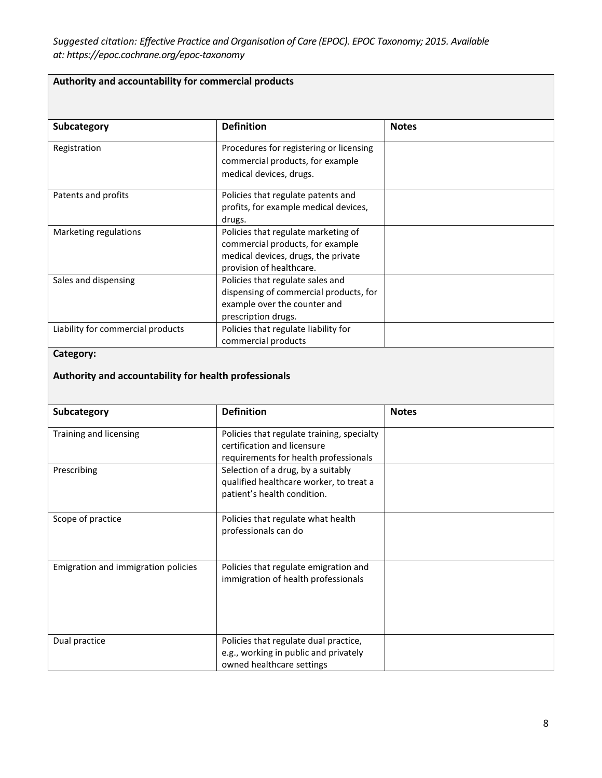| Authority and accountability for commercial products |                                                                                                                                            |              |
|------------------------------------------------------|--------------------------------------------------------------------------------------------------------------------------------------------|--------------|
| Subcategory                                          | <b>Definition</b>                                                                                                                          | <b>Notes</b> |
| Registration                                         | Procedures for registering or licensing<br>commercial products, for example<br>medical devices, drugs.                                     |              |
| Patents and profits                                  | Policies that regulate patents and<br>profits, for example medical devices,<br>drugs.                                                      |              |
| Marketing regulations                                | Policies that regulate marketing of<br>commercial products, for example<br>medical devices, drugs, the private<br>provision of healthcare. |              |
| Sales and dispensing                                 | Policies that regulate sales and<br>dispensing of commercial products, for<br>example over the counter and<br>prescription drugs.          |              |
| Liability for commercial products                    | Policies that regulate liability for<br>commercial products                                                                                |              |

## **Category:**

## **Authority and accountability for health professionals**

| Subcategory                         | <b>Definition</b>                                                                                                  | <b>Notes</b> |
|-------------------------------------|--------------------------------------------------------------------------------------------------------------------|--------------|
| Training and licensing              | Policies that regulate training, specialty<br>certification and licensure<br>requirements for health professionals |              |
| Prescribing                         | Selection of a drug, by a suitably<br>qualified healthcare worker, to treat a<br>patient's health condition.       |              |
| Scope of practice                   | Policies that regulate what health<br>professionals can do                                                         |              |
| Emigration and immigration policies | Policies that regulate emigration and<br>immigration of health professionals                                       |              |
| Dual practice                       | Policies that regulate dual practice,<br>e.g., working in public and privately<br>owned healthcare settings        |              |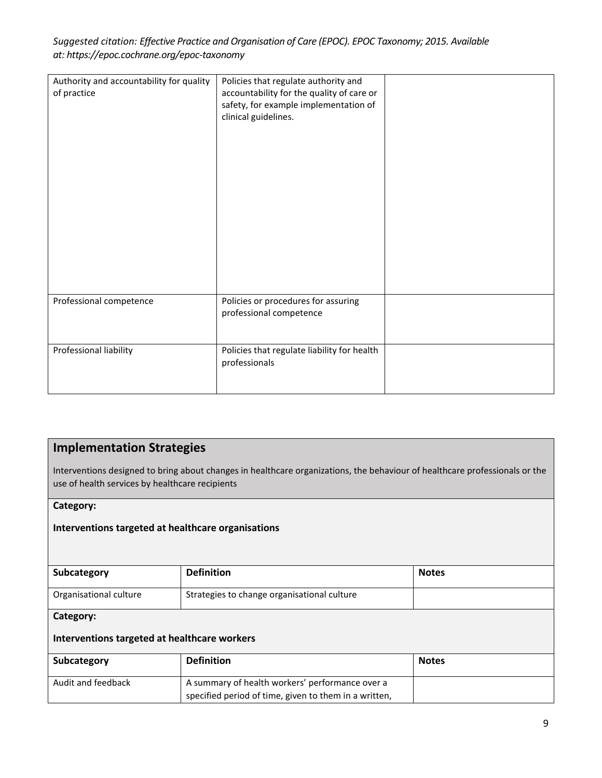| Authority and accountability for quality<br>of practice | Policies that regulate authority and<br>accountability for the quality of care or<br>safety, for example implementation of<br>clinical guidelines. |  |
|---------------------------------------------------------|----------------------------------------------------------------------------------------------------------------------------------------------------|--|
| Professional competence                                 | Policies or procedures for assuring<br>professional competence                                                                                     |  |
| Professional liability                                  | Policies that regulate liability for health<br>professionals                                                                                       |  |

## **Implementation Strategies**

Interventions designed to bring about changes in healthcare organizations, the behaviour of healthcare professionals or the use of health services by healthcare recipients

#### **Category:**

#### **Interventions targeted at healthcare organisations**

| Subcategory            | <b>Definition</b>                           | <b>Notes</b> |
|------------------------|---------------------------------------------|--------------|
| Organisational culture | Strategies to change organisational culture |              |

**Category:** 

#### **Interventions targeted at healthcare workers**

| Subcategory        | <b>Definition</b>                                                                                        | <b>Notes</b> |
|--------------------|----------------------------------------------------------------------------------------------------------|--------------|
| Audit and feedback | A summary of health workers' performance over a<br>specified period of time, given to them in a written, |              |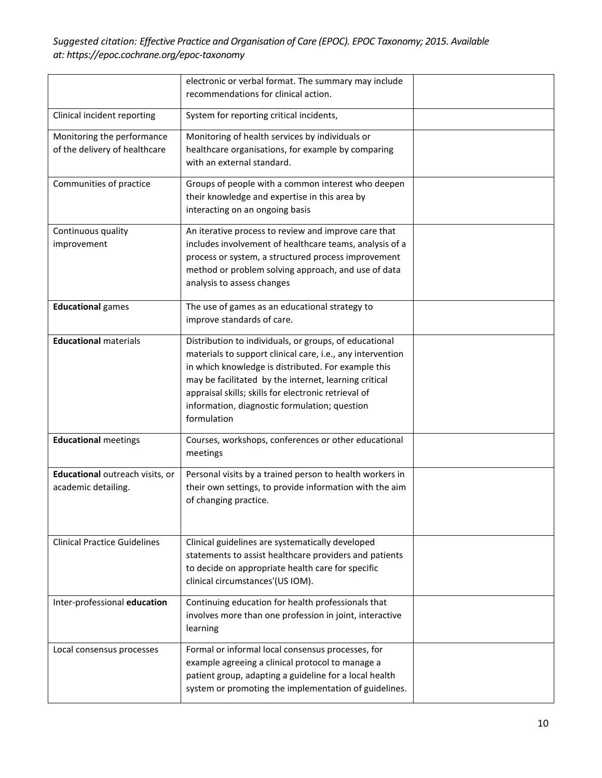|                                                             | electronic or verbal format. The summary may include<br>recommendations for clinical action.                                                                                                                                                                                                                                                                 |  |
|-------------------------------------------------------------|--------------------------------------------------------------------------------------------------------------------------------------------------------------------------------------------------------------------------------------------------------------------------------------------------------------------------------------------------------------|--|
| Clinical incident reporting                                 | System for reporting critical incidents,                                                                                                                                                                                                                                                                                                                     |  |
| Monitoring the performance<br>of the delivery of healthcare | Monitoring of health services by individuals or<br>healthcare organisations, for example by comparing<br>with an external standard.                                                                                                                                                                                                                          |  |
| Communities of practice                                     | Groups of people with a common interest who deepen<br>their knowledge and expertise in this area by<br>interacting on an ongoing basis                                                                                                                                                                                                                       |  |
| Continuous quality<br>improvement                           | An iterative process to review and improve care that<br>includes involvement of healthcare teams, analysis of a<br>process or system, a structured process improvement<br>method or problem solving approach, and use of data<br>analysis to assess changes                                                                                                  |  |
| <b>Educational</b> games                                    | The use of games as an educational strategy to<br>improve standards of care.                                                                                                                                                                                                                                                                                 |  |
| <b>Educational materials</b>                                | Distribution to individuals, or groups, of educational<br>materials to support clinical care, i.e., any intervention<br>in which knowledge is distributed. For example this<br>may be facilitated by the internet, learning critical<br>appraisal skills; skills for electronic retrieval of<br>information, diagnostic formulation; question<br>formulation |  |
| <b>Educational meetings</b>                                 | Courses, workshops, conferences or other educational<br>meetings                                                                                                                                                                                                                                                                                             |  |
| Educational outreach visits, or<br>academic detailing.      | Personal visits by a trained person to health workers in<br>their own settings, to provide information with the aim<br>of changing practice.                                                                                                                                                                                                                 |  |
| <b>Clinical Practice Guidelines</b>                         | Clinical guidelines are systematically developed<br>statements to assist healthcare providers and patients<br>to decide on appropriate health care for specific<br>clinical circumstances'(US IOM).                                                                                                                                                          |  |
| Inter-professional education                                | Continuing education for health professionals that<br>involves more than one profession in joint, interactive<br>learning                                                                                                                                                                                                                                    |  |
| Local consensus processes                                   | Formal or informal local consensus processes, for<br>example agreeing a clinical protocol to manage a<br>patient group, adapting a guideline for a local health<br>system or promoting the implementation of guidelines.                                                                                                                                     |  |